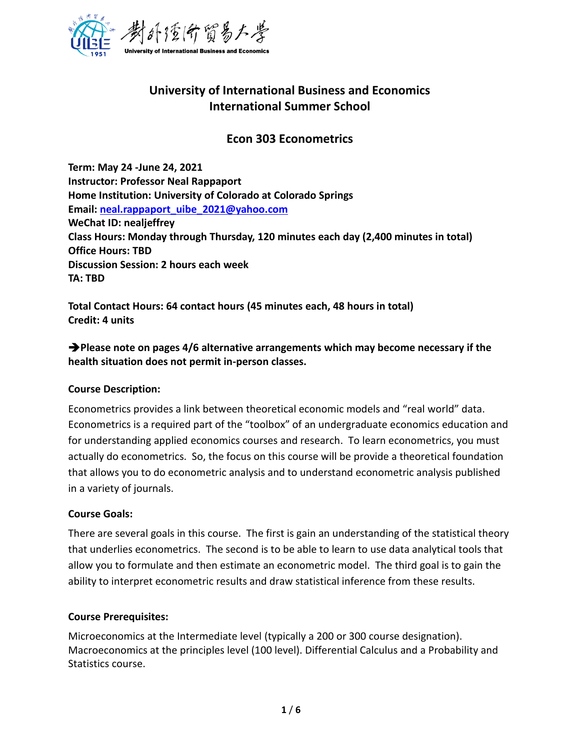

# **University of International Business and Economics International Summer School**

## **Econ 303 Econometrics**

**Term: May 24 -June 24, 2021 Instructor: Professor Neal Rappaport Home Institution: University of Colorado at Colorado Springs Email: [neal.rappaport\\_uibe\\_2021@yahoo.com](mailto:neal.rappaport_uibe_2021@yahoo.com) WeChat ID: nealjeffrey Class Hours: Monday through Thursday, 120 minutes each day (2,400 minutes in total) Office Hours: TBD Discussion Session: 2 hours each week TA: TBD**

**Total Contact Hours: 64 contact hours (45 minutes each, 48 hours in total) Credit: 4 units**

➔**Please note on pages 4/6 alternative arrangements which may become necessary if the health situation does not permit in-person classes.** 

#### **Course Description:**

Econometrics provides a link between theoretical economic models and "real world" data. Econometrics is a required part of the "toolbox" of an undergraduate economics education and for understanding applied economics courses and research. To learn econometrics, you must actually do econometrics. So, the focus on this course will be provide a theoretical foundation that allows you to do econometric analysis and to understand econometric analysis published in a variety of journals.

#### **Course Goals:**

There are several goals in this course. The first is gain an understanding of the statistical theory that underlies econometrics. The second is to be able to learn to use data analytical tools that allow you to formulate and then estimate an econometric model. The third goal is to gain the ability to interpret econometric results and draw statistical inference from these results.

#### **Course Prerequisites:**

Microeconomics at the Intermediate level (typically a 200 or 300 course designation). Macroeconomics at the principles level (100 level). Differential Calculus and a Probability and Statistics course.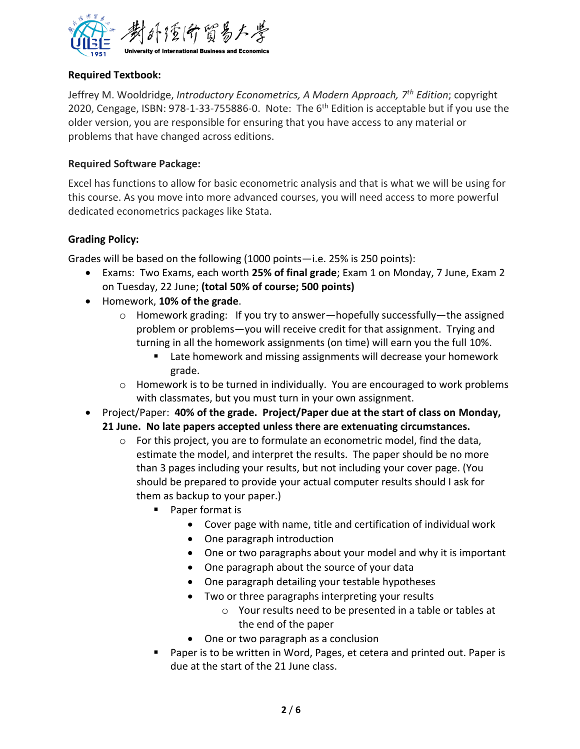

## **Required Textbook:**

Jeffrey M. Wooldridge, *Introductory Econometrics, A Modern Approach, 7th Edition*; copyright 2020, Cengage, ISBN: 978-1-33-755886-0. Note: The 6<sup>th</sup> Edition is acceptable but if you use the older version, you are responsible for ensuring that you have access to any material or problems that have changed across editions.

## **Required Software Package:**

Excel has functions to allow for basic econometric analysis and that is what we will be using for this course. As you move into more advanced courses, you will need access to more powerful dedicated econometrics packages like Stata.

## **Grading Policy:**

Grades will be based on the following (1000 points—i.e. 25% is 250 points):

- Exams: Two Exams, each worth **25% of final grade**; Exam 1 on Monday, 7 June, Exam 2 on Tuesday, 22 June; **(total 50% of course; 500 points)**
- Homework, **10% of the grade**.
	- $\circ$  Homework grading: If you try to answer—hopefully successfully—the assigned problem or problems—you will receive credit for that assignment. Trying and turning in all the homework assignments (on time) will earn you the full 10%.
		- Late homework and missing assignments will decrease your homework grade.
	- $\circ$  Homework is to be turned in individually. You are encouraged to work problems with classmates, but you must turn in your own assignment.
- Project/Paper: **40% of the grade. Project/Paper due at the start of class on Monday, 21 June. No late papers accepted unless there are extenuating circumstances.** 
	- $\circ$  For this project, you are to formulate an econometric model, find the data, estimate the model, and interpret the results. The paper should be no more than 3 pages including your results, but not including your cover page. (You should be prepared to provide your actual computer results should I ask for them as backup to your paper.)
		- Paper format is
			- Cover page with name, title and certification of individual work
			- One paragraph introduction
			- One or two paragraphs about your model and why it is important
			- One paragraph about the source of your data
			- One paragraph detailing your testable hypotheses
			- Two or three paragraphs interpreting your results
				- o Your results need to be presented in a table or tables at the end of the paper
			- One or two paragraph as a conclusion
		- Paper is to be written in Word, Pages, et cetera and printed out. Paper is due at the start of the 21 June class.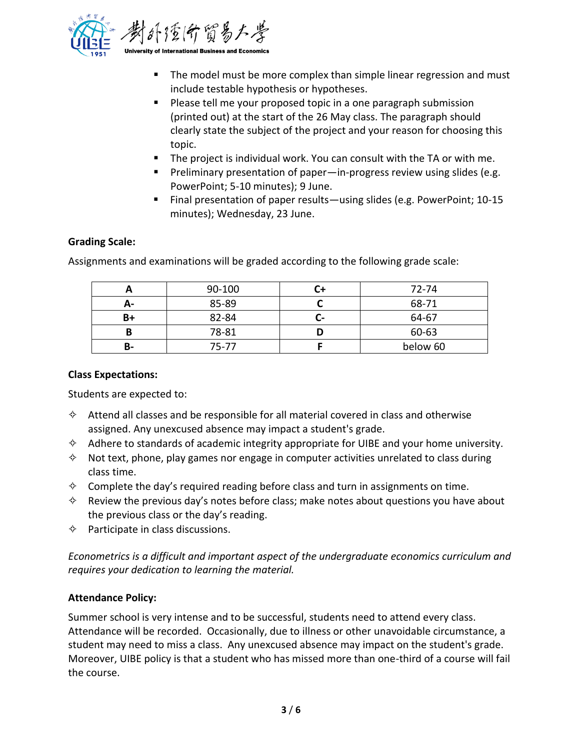

- The model must be more complex than simple linear regression and must include testable hypothesis or hypotheses.
- Please tell me your proposed topic in a one paragraph submission (printed out) at the start of the 26 May class. The paragraph should clearly state the subject of the project and your reason for choosing this topic.
- The project is individual work. You can consult with the TA or with me.
- Preliminary presentation of paper—in-progress review using slides (e.g. PowerPoint; 5-10 minutes); 9 June.
- Final presentation of paper results—using slides (e.g. PowerPoint; 10-15 minutes); Wednesday, 23 June.

## **Grading Scale:**

Assignments and examinations will be graded according to the following grade scale:

|      | 90-100 |    | 72-74    |
|------|--------|----|----------|
| А-   | 85-89  |    | 68-71    |
| $B+$ | 82-84  | C- | 64-67    |
|      | 78-81  |    | 60-63    |
| В-   | 75-77  |    | below 60 |

#### **Class Expectations:**

Students are expected to:

- $\diamond$  Attend all classes and be responsible for all material covered in class and otherwise assigned. Any unexcused absence may impact a student's grade.
- $\diamond$  Adhere to standards of academic integrity appropriate for UIBE and your home university.
- $\diamond$  Not text, phone, play games nor engage in computer activities unrelated to class during class time.
- $\diamond$  Complete the day's required reading before class and turn in assignments on time.
- $\diamond$  Review the previous day's notes before class; make notes about questions you have about the previous class or the day's reading.
- $\diamond$  Participate in class discussions.

*Econometrics is a difficult and important aspect of the undergraduate economics curriculum and requires your dedication to learning the material.* 

#### **Attendance Policy:**

Summer school is very intense and to be successful, students need to attend every class. Attendance will be recorded. Occasionally, due to illness or other unavoidable circumstance, a student may need to miss a class. Any unexcused absence may impact on the student's grade. Moreover, UIBE policy is that a student who has missed more than one-third of a course will fail the course.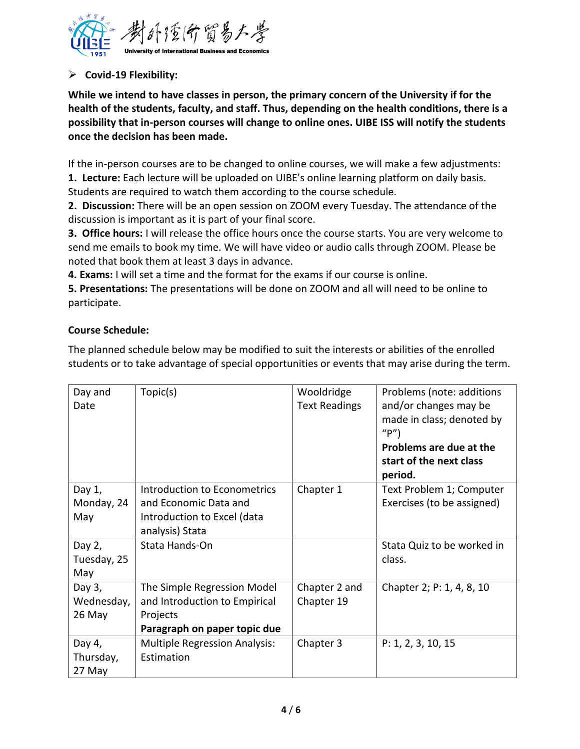

## ➢ **Covid-19 Flexibility:**

**While we intend to have classes in person, the primary concern of the University if for the health of the students, faculty, and staff. Thus, depending on the health conditions, there is a possibility that in-person courses will change to online ones. UIBE ISS will notify the students once the decision has been made.**

If the in-person courses are to be changed to online courses, we will make a few adjustments:

**1. Lecture:** Each lecture will be uploaded on UIBE's online learning platform on daily basis. Students are required to watch them according to the course schedule.

**2. Discussion:** There will be an open session on ZOOM every Tuesday. The attendance of the discussion is important as it is part of your final score.

**3. Office hours:** I will release the office hours once the course starts. You are very welcome to send me emails to book my time. We will have video or audio calls through ZOOM. Please be noted that book them at least 3 days in advance.

**4. Exams:** I will set a time and the format for the exams if our course is online.

**5. Presentations:** The presentations will be done on ZOOM and all will need to be online to participate.

## **Course Schedule:**

The planned schedule below may be modified to suit the interests or abilities of the enrolled students or to take advantage of special opportunities or events that may arise during the term.

| Day and<br>Date                | Topic(s)                                                                                                 | Wooldridge<br><b>Text Readings</b> | Problems (note: additions<br>and/or changes may be<br>made in class; denoted by<br>''P'<br>Problems are due at the |
|--------------------------------|----------------------------------------------------------------------------------------------------------|------------------------------------|--------------------------------------------------------------------------------------------------------------------|
|                                |                                                                                                          |                                    | start of the next class<br>period.                                                                                 |
| Day 1,<br>Monday, 24<br>May    | Introduction to Econometrics<br>and Economic Data and<br>Introduction to Excel (data<br>analysis) Stata  | Chapter 1                          | Text Problem 1; Computer<br>Exercises (to be assigned)                                                             |
| Day 2,<br>Tuesday, 25<br>May   | Stata Hands-On                                                                                           |                                    | Stata Quiz to be worked in<br>class.                                                                               |
| Day 3,<br>Wednesday,<br>26 May | The Simple Regression Model<br>and Introduction to Empirical<br>Projects<br>Paragraph on paper topic due | Chapter 2 and<br>Chapter 19        | Chapter 2; P: 1, 4, 8, 10                                                                                          |
| Day 4,<br>Thursday,<br>27 May  | <b>Multiple Regression Analysis:</b><br>Estimation                                                       | Chapter 3                          | P: 1, 2, 3, 10, 15                                                                                                 |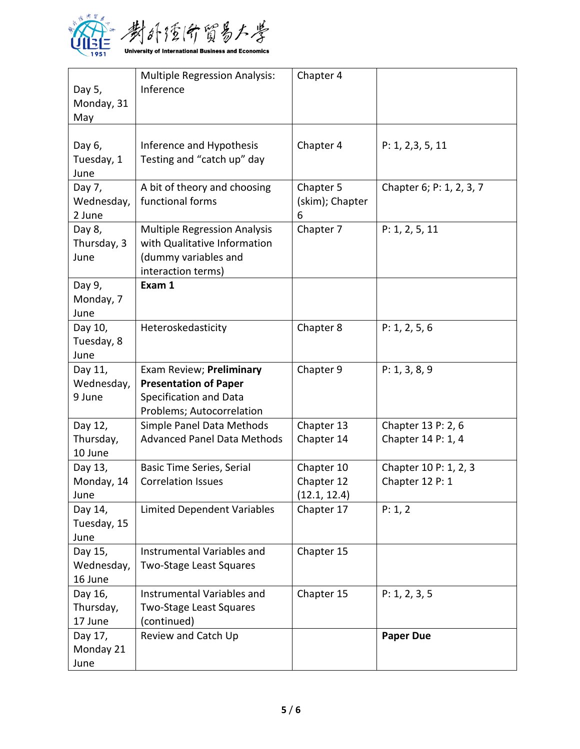

| Day 5,<br>Monday, 31<br>May      | <b>Multiple Regression Analysis:</b><br>Inference                                                                 | Chapter 4                                |                                          |
|----------------------------------|-------------------------------------------------------------------------------------------------------------------|------------------------------------------|------------------------------------------|
| Day 6,<br>Tuesday, 1<br>June     | Inference and Hypothesis<br>Testing and "catch up" day                                                            | Chapter 4                                | P: 1, 2, 3, 5, 11                        |
| Day 7,<br>Wednesday,<br>2 June   | A bit of theory and choosing<br>functional forms                                                                  | Chapter 5<br>(skim); Chapter<br>6        | Chapter 6; P: 1, 2, 3, 7                 |
| Day 8,<br>Thursday, 3<br>June    | <b>Multiple Regression Analysis</b><br>with Qualitative Information<br>(dummy variables and<br>interaction terms) | Chapter 7                                | P: 1, 2, 5, 11                           |
| Day 9,<br>Monday, 7<br>June      | Exam 1                                                                                                            |                                          |                                          |
| Day 10,<br>Tuesday, 8<br>June    | Heteroskedasticity                                                                                                | Chapter 8                                | P: 1, 2, 5, 6                            |
| Day 11,<br>Wednesday,<br>9 June  | Exam Review; Preliminary<br><b>Presentation of Paper</b><br>Specification and Data<br>Problems; Autocorrelation   | Chapter 9                                | P: 1, 3, 8, 9                            |
| Day 12,<br>Thursday,<br>10 June  | Simple Panel Data Methods<br><b>Advanced Panel Data Methods</b>                                                   | Chapter 13<br>Chapter 14                 | Chapter 13 P: 2, 6<br>Chapter 14 P: 1, 4 |
| Day 13,<br>Monday, 14<br>June    | <b>Basic Time Series, Serial</b><br><b>Correlation Issues</b>                                                     | Chapter 10<br>Chapter 12<br>(12.1, 12.4) | Chapter 10 P: 1, 2, 3<br>Chapter 12 P: 1 |
| Day 14,<br>Tuesday, 15<br>June   | <b>Limited Dependent Variables</b>                                                                                | Chapter 17                               | P: 1, 2                                  |
| Day 15,<br>Wednesday,<br>16 June | Instrumental Variables and<br><b>Two-Stage Least Squares</b>                                                      | Chapter 15                               |                                          |
| Day 16,<br>Thursday,<br>17 June  | Instrumental Variables and<br><b>Two-Stage Least Squares</b><br>(continued)                                       | Chapter 15                               | P: 1, 2, 3, 5                            |
| Day 17,<br>Monday 21<br>June     | Review and Catch Up                                                                                               |                                          | <b>Paper Due</b>                         |